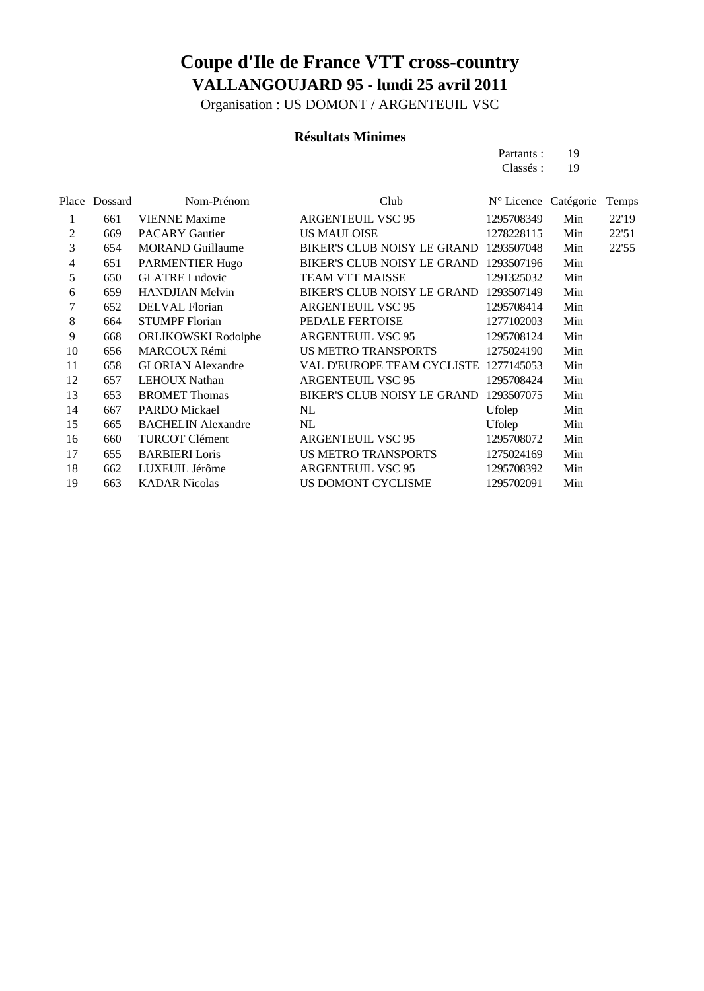Organisation : US DOMONT / ARGENTEUIL VSC

### **Résultats Minimes**

| Partants: | 19 |
|-----------|----|
| Classés:  | 19 |

|                | Place Dossard | Nom-Prénom                 | Club                                   | N° Licence Catégorie |     | Temps |
|----------------|---------------|----------------------------|----------------------------------------|----------------------|-----|-------|
| 1              | 661           | <b>VIENNE</b> Maxime       | <b>ARGENTEUIL VSC 95</b>               | 1295708349           | Min | 22'19 |
| 2              | 669           | <b>PACARY Gautier</b>      | <b>US MAULOISE</b>                     | 1278228115           | Min | 22'51 |
| 3              | 654           | <b>MORAND Guillaume</b>    | BIKER'S CLUB NOISY LE GRAND 1293507048 |                      | Min | 22'55 |
| $\overline{4}$ | 651           | PARMENTIER Hugo            | BIKER'S CLUB NOISY LE GRAND 1293507196 |                      | Min |       |
| 5              | 650           | <b>GLATRE Ludovic</b>      | <b>TEAM VTT MAISSE</b>                 | 1291325032           | Min |       |
| 6              | 659           | <b>HANDJIAN Melvin</b>     | <b>BIKER'S CLUB NOISY LE GRAND</b>     | 1293507149           | Min |       |
| 7              | 652           | <b>DELVAL</b> Florian      | <b>ARGENTEUIL VSC 95</b>               | 1295708414           | Min |       |
| 8              | 664           | <b>STUMPF Florian</b>      | PEDALE FERTOISE                        | 1277102003           | Min |       |
| 9              | 668           | <b>ORLIKOWSKI</b> Rodolphe | ARGENTEUIL VSC 95                      | 1295708124           | Min |       |
| 10             | 656           | <b>MARCOUX Rémi</b>        | US METRO TRANSPORTS                    | 1275024190           | Min |       |
| 11             | 658           | <b>GLORIAN Alexandre</b>   | VAL D'EUROPE TEAM CYCLISTE 1277145053  |                      | Min |       |
| 12             | 657           | <b>LEHOUX Nathan</b>       | <b>ARGENTEUIL VSC 95</b>               | 1295708424           | Min |       |
| 13             | 653           | <b>BROMET Thomas</b>       | BIKER'S CLUB NOISY LE GRAND            | 1293507075           | Min |       |
| 14             | 667           | PARDO Mickael              | NL                                     | Ufolep               | Min |       |
| 15             | 665           | <b>BACHELIN Alexandre</b>  | NL                                     | Ufolep               | Min |       |
| 16             | 660           | <b>TURCOT Clément</b>      | ARGENTEUIL VSC 95                      | 1295708072           | Min |       |
| 17             | 655           | <b>BARBIERI</b> Loris      | US METRO TRANSPORTS                    | 1275024169           | Min |       |
| 18             | 662           | LUXEUIL Jérôme             | <b>ARGENTEUIL VSC 95</b>               | 1295708392           | Min |       |
| 19             | 663           | <b>KADAR Nicolas</b>       | US DOMONT CYCLISME                     | 1295702091           | Min |       |
|                |               |                            |                                        |                      |     |       |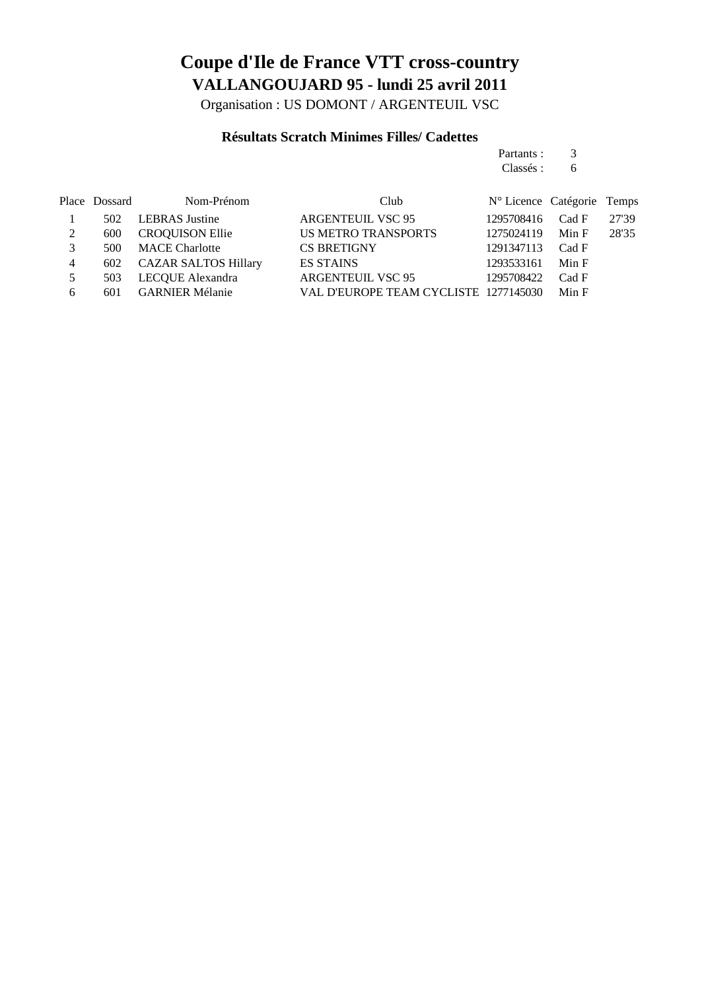Organisation : US DOMONT / ARGENTEUIL VSC

### **Résultats Scratch Minimes Filles/ Cadettes**

### Partants : 3

Classés : 6

|   | Place Dossard | Nom-Prénom                  | Club                                  | N° Licence Catégorie Temps |       |       |
|---|---------------|-----------------------------|---------------------------------------|----------------------------|-------|-------|
|   | 502           | <b>LEBRAS</b> Justine       | <b>ARGENTEUIL VSC 95</b>              | 1295708416                 | Cad F | 27'39 |
| 2 | 600           | <b>CROQUISON Ellie</b>      | <b>US METRO TRANSPORTS</b>            | 1275024119                 | Min F | 28'35 |
| 3 | 500           | <b>MACE Charlotte</b>       | <b>CS BRETIGNY</b>                    | 1291347113                 | Cad F |       |
| 4 | 602           | <b>CAZAR SALTOS Hillary</b> | <b>ES STAINS</b>                      | 1293533161                 | Min F |       |
| 5 | 503           | LECQUE Alexandra            | <b>ARGENTEUIL VSC 95</b>              | 1295708422                 | Cad F |       |
| 6 | 601           | <b>GARNIER Mélanie</b>      | VAL D'EUROPE TEAM CYCLISTE 1277145030 |                            | Min F |       |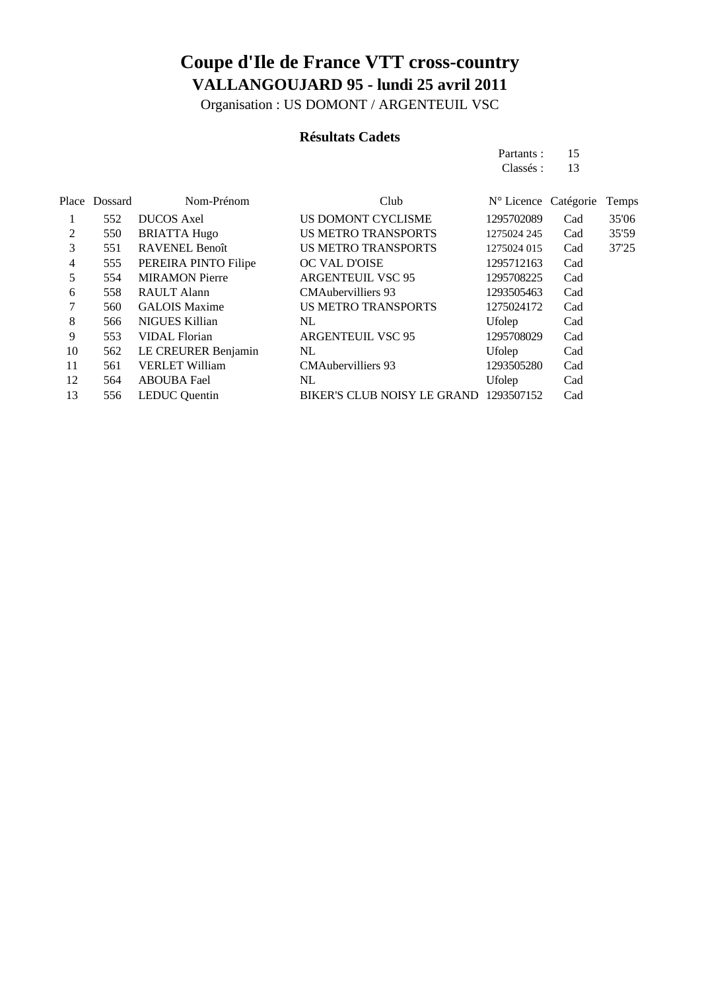Organisation : US DOMONT / ARGENTEUIL VSC

### **Résultats Cadets**

| Partants: | 15 |
|-----------|----|
| Classés : | 13 |

|    | Place Dossard | Nom-Prénom            | Club                                   | $N^{\circ}$ Licence Catégorie |     | Temps |
|----|---------------|-----------------------|----------------------------------------|-------------------------------|-----|-------|
|    | 552           | <b>DUCOS</b> Axel     | US DOMONT CYCLISME                     | 1295702089                    | Cad | 35'06 |
| 2  | 550           | <b>BRIATTA Hugo</b>   | <b>US METRO TRANSPORTS</b>             | 1275024 245                   | Cad | 35'59 |
| 3  | 551           | <b>RAVENEL Benoît</b> | <b>US METRO TRANSPORTS</b>             | 1275024 015                   | Cad | 37'25 |
| 4  | 555           | PEREIRA PINTO Filipe  | OC VAL D'OISE                          | 1295712163                    | Cad |       |
| 5  | 554           | <b>MIRAMON Pierre</b> | <b>ARGENTEUIL VSC 95</b>               | 1295708225                    | Cad |       |
| 6  | 558           | <b>RAULT Alann</b>    | <b>CMAubervilliers 93</b>              | 1293505463                    | Cad |       |
| 7  | 560           | <b>GALOIS Maxime</b>  | <b>US METRO TRANSPORTS</b>             | 1275024172                    | Cad |       |
| 8  | 566           | NIGUES Killian        | NL                                     | Ufolep                        | Cad |       |
| 9  | 553           | <b>VIDAL Florian</b>  | <b>ARGENTEUIL VSC 95</b>               | 1295708029                    | Cad |       |
| 10 | 562           | LE CREURER Benjamin   | NL                                     | Ufolep                        | Cad |       |
| 11 | 561           | <b>VERLET William</b> | <b>CMAubervilliers 93</b>              | 1293505280                    | Cad |       |
| 12 | 564           | <b>ABOUBA Fael</b>    | NL                                     | Ufolep                        | Cad |       |
| 13 | 556           | <b>LEDUC</b> Quentin  | BIKER'S CLUB NOISY LE GRAND 1293507152 |                               | Cad |       |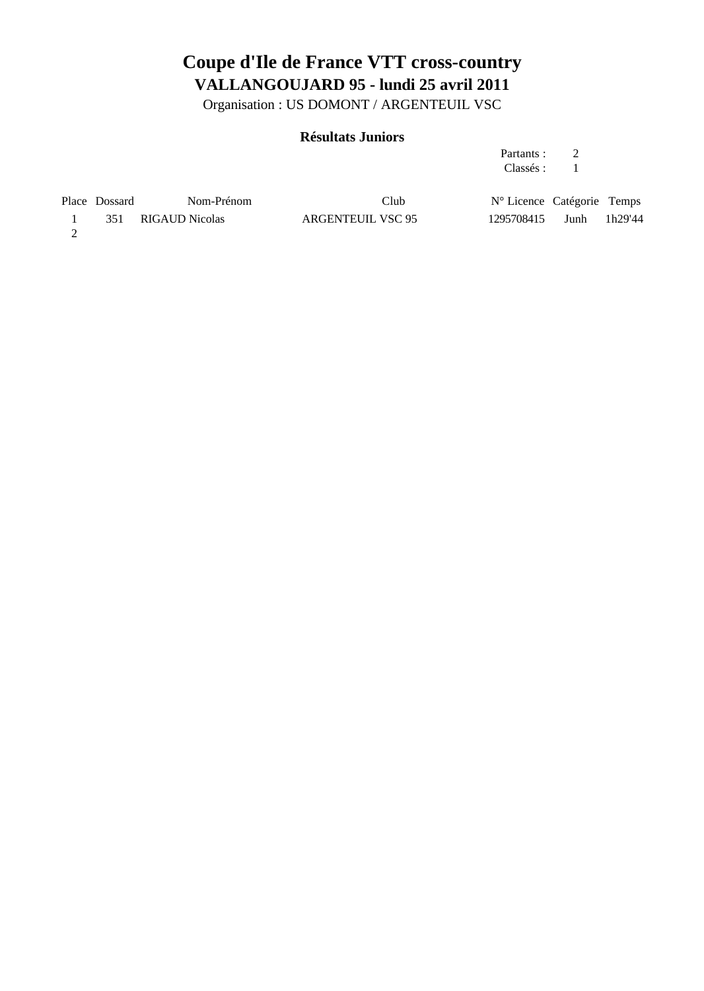Organisation : US DOMONT / ARGENTEUIL VSC

### **Résultats Juniors**

| Partants: |  |
|-----------|--|
| Classés : |  |

| Place Dossard | Nom-Prénom         | Club              | N° Licence Catégorie Temps |      |         |
|---------------|--------------------|-------------------|----------------------------|------|---------|
|               | 351 RIGAUD Nicolas | ARGENTEUIL VSC 95 | 1295708415                 | Junh | 1h29'44 |
|               |                    |                   |                            |      |         |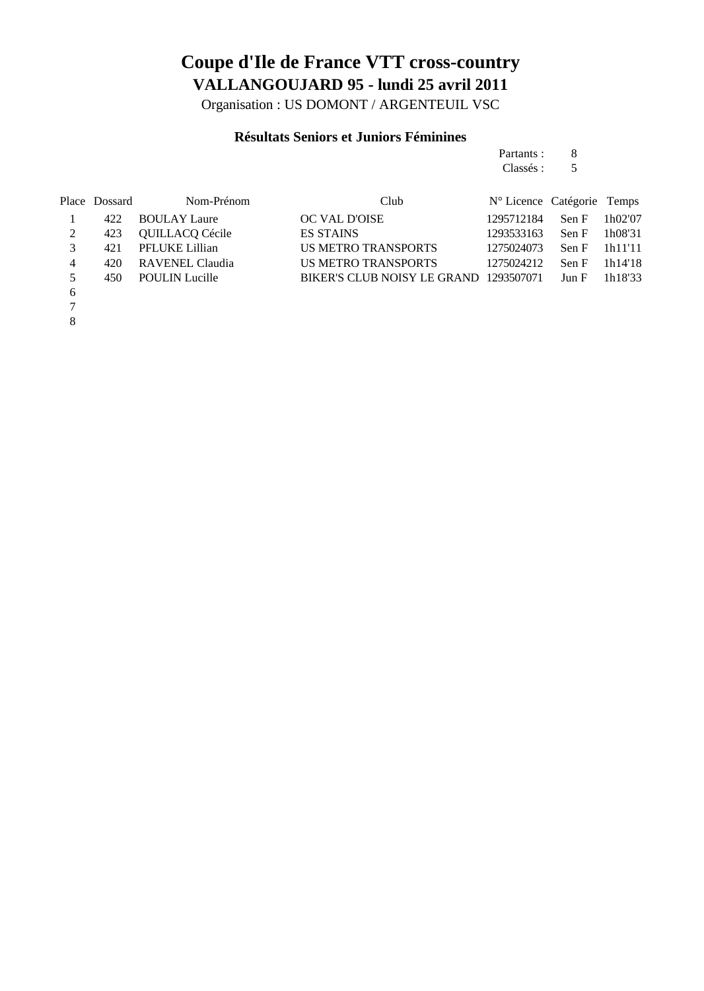Organisation : US DOMONT / ARGENTEUIL VSC

### **Résultats Seniors et Juniors Féminines**

| Partants: | 8 |
|-----------|---|
| Classés : | 5 |

|    | Place Dossard | Nom-Prénom            | Club                                         | N° Licence Catégorie Temps |                           |           |
|----|---------------|-----------------------|----------------------------------------------|----------------------------|---------------------------|-----------|
|    | 422           | <b>BOULAY Laure</b>   | OC VAL D'OISE                                | 1295712184                 | Sen F                     | 1h02'07   |
| 2  | 423           | QUILLACQ Cécile       | <b>ES STAINS</b>                             | 1293533163                 | Sen F                     | 1h08'31   |
|    | 421           | PFLUKE Lillian        | <b>US METRO TRANSPORTS</b>                   | 1275024073                 | $\text{Sen } F = 1h11111$ |           |
| 4  | 420           | RAVENEL Claudia       | US METRO TRANSPORTS                          | 1275024212                 | Sen F                     | - 1h14'18 |
| .5 | 450           | <b>POULIN Lucille</b> | BIKER'S CLUB NOISY LE GRAND 1293507071 Jun F |                            |                           | 1h18'33   |
| 6  |               |                       |                                              |                            |                           |           |

- 7
- 8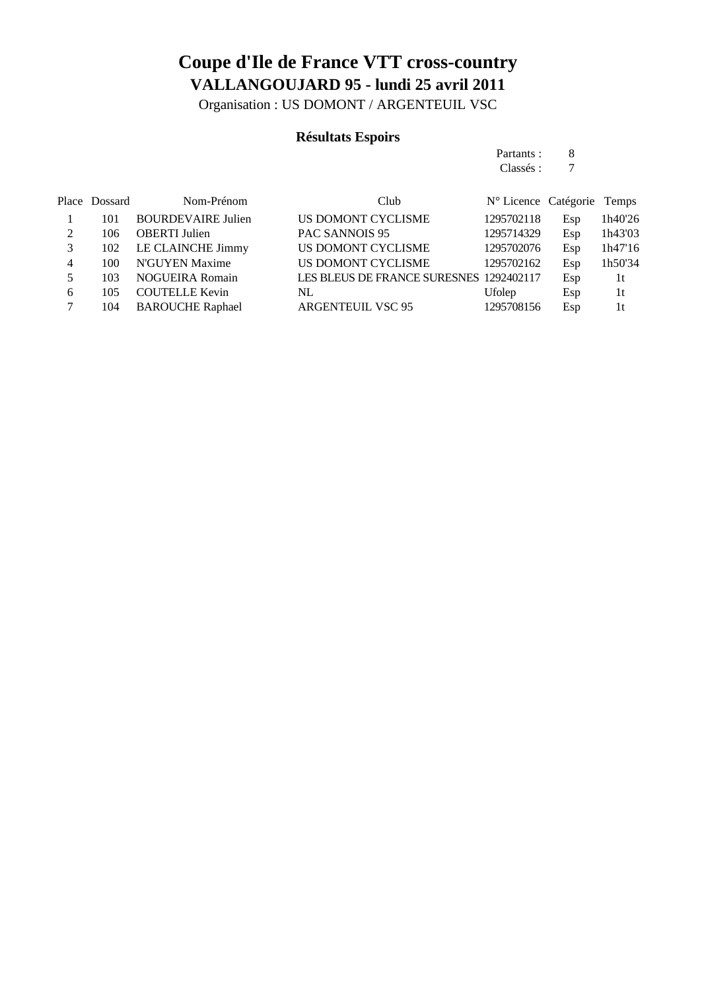Organisation : US DOMONT / ARGENTEUIL VSC

### **Résultats Espoirs**

| Partants: | 8 |
|-----------|---|
| Classés : |   |

|          | Place Dossard | Nom-Prénom                | Club                                    | N° Licence Catégorie Temps |     |                |
|----------|---------------|---------------------------|-----------------------------------------|----------------------------|-----|----------------|
|          | 101           | <b>BOURDEVAIRE Julien</b> | US DOMONT CYCLISME                      | 1295702118                 | Esp | 1h40'26        |
| $\gamma$ | 106           | <b>OBERTI</b> Julien      | PAC SANNOIS 95                          | 1295714329                 | Esp | 1h43'03        |
| 3        | 102           | LE CLAINCHE Jimmy         | US DOMONT CYCLISME                      | 1295702076                 | Esp | 1h47'16        |
| 4        | 100           | N'GUYEN Maxime            | US DOMONT CYCLISME                      | 1295702162                 | Esp | 1h50'34        |
|          | 103           | <b>NOGUEIRA Romain</b>    | LES BLEUS DE FRANCE SURESNES 1292402117 |                            | Esp | 1 <sub>t</sub> |
| 6        | 105           | <b>COUTELLE Kevin</b>     | NL                                      | Ufolep                     | Esp | 1t             |
|          | 104           | <b>BAROUCHE Raphael</b>   | <b>ARGENTEUIL VSC 95</b>                | 1295708156                 | Esp | 1t             |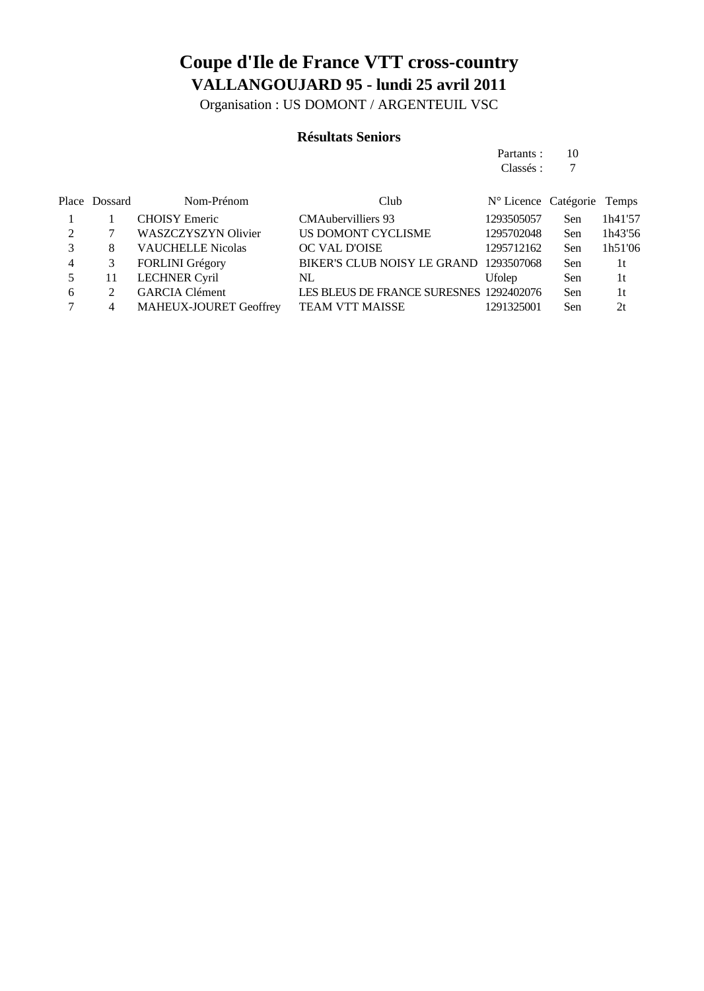Organisation : US DOMONT / ARGENTEUIL VSC

### **Résultats Seniors**

| Partants: | 10 |
|-----------|----|
| Classés : | 7  |

|   | Place Dossard | Nom-Prénom                    | Club                                    | N° Licence Catégorie Temps |            |         |
|---|---------------|-------------------------------|-----------------------------------------|----------------------------|------------|---------|
|   |               | <b>CHOISY</b> Emeric          | <b>CMAubervilliers</b> 93               | 1293505057                 | <b>Sen</b> | 1h41'57 |
|   |               | WASZCZYSZYN Olivier           | US DOMONT CYCLISME                      | 1295702048                 | Sen        | 1h43'56 |
|   | 8             | <b>VAUCHELLE Nicolas</b>      | OC VAL D'OISE                           | 1295712162                 | Sen        | 1h51'06 |
| 4 |               | <b>FORLINI</b> Grégory        | <b>BIKER'S CLUB NOISY LE GRAND</b>      | 1293507068                 | <b>Sen</b> | 1t      |
|   |               | <b>LECHNER Cyril</b>          | NL                                      | <b>Ufolep</b>              | <b>Sen</b> | 1t      |
| 6 |               | <b>GARCIA</b> Clément         | LES BLEUS DE FRANCE SURESNES 1292402076 |                            | <b>Sen</b> | 1t      |
|   | 4             | <b>MAHEUX-JOURET Geoffrey</b> | <b>TEAM VTT MAISSE</b>                  | 1291325001                 | Sen        | 2t      |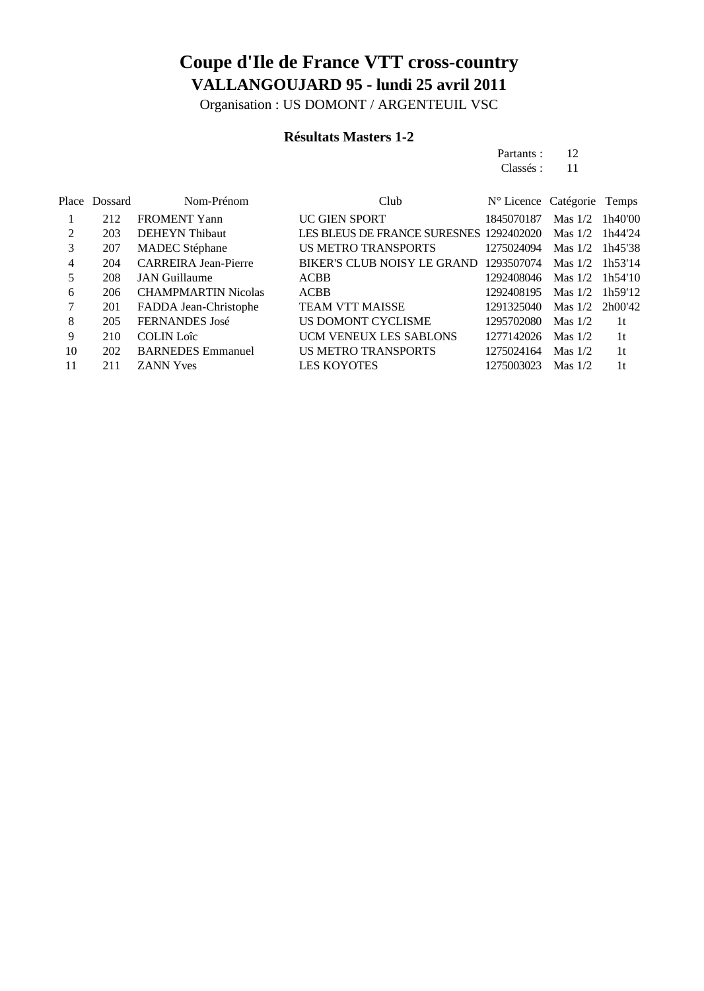Organisation : US DOMONT / ARGENTEUIL VSC

### **Résultats Masters 1-2**

Partants : 12 Classés: 11

|                | Place Dossard | Nom-Prénom                  | Club                                    | N° Licence Catégorie |                   | Temps          |
|----------------|---------------|-----------------------------|-----------------------------------------|----------------------|-------------------|----------------|
|                | 212           | <b>FROMENT Yann</b>         | <b>UC GIEN SPORT</b>                    | 1845070187           | Mas $1/2$         | 1h40'00        |
| $\mathfrak{D}$ | 203           | <b>DEHEYN</b> Thibaut       | LES BLEUS DE FRANCE SURESNES 1292402020 |                      | Mas $1/2$         | 1h44'24        |
| 3              | 207           | <b>MADEC</b> Stéphane       | <b>US METRO TRANSPORTS</b>              | 1275024094           | Mas 1/2           | 1h45'38        |
| 4              | 204           | <b>CARREIRA Jean-Pierre</b> | BIKER'S CLUB NOISY LE GRAND             | 1293507074           | Mas $1/2$         | 1h53'14        |
| 5              | 208           | <b>JAN</b> Guillaume        | <b>ACBB</b>                             | 1292408046           | Mas $1/2$         | 1h54'10        |
| 6              | 206           | <b>CHAMPMARTIN Nicolas</b>  | <b>ACBB</b>                             | 1292408195           | Mas $1/2$         | 1h59'12        |
|                | 201           | FADDA Jean-Christophe       | <b>TEAM VTT MAISSE</b>                  | 1291325040           | Mas $1/2$ 2h00'42 |                |
| 8              | 205           | FERNANDES José              | US DOMONT CYCLISME                      | 1295702080           | Mas $1/2$         | 1t             |
| 9              | 210           | <b>COLIN Loîc</b>           | UCM VENEUX LES SABLONS                  | 1277142026           | Mas $1/2$         | 1 <sup>t</sup> |
| 10             | 202           | <b>BARNEDES</b> Emmanuel    | <b>US METRO TRANSPORTS</b>              | 1275024164           | Mas $1/2$         | 1t             |
| 11             | 211           | <b>ZANN Yves</b>            | <b>LES KOYOTES</b>                      | 1275003023           | Mas $1/2$         | 1t             |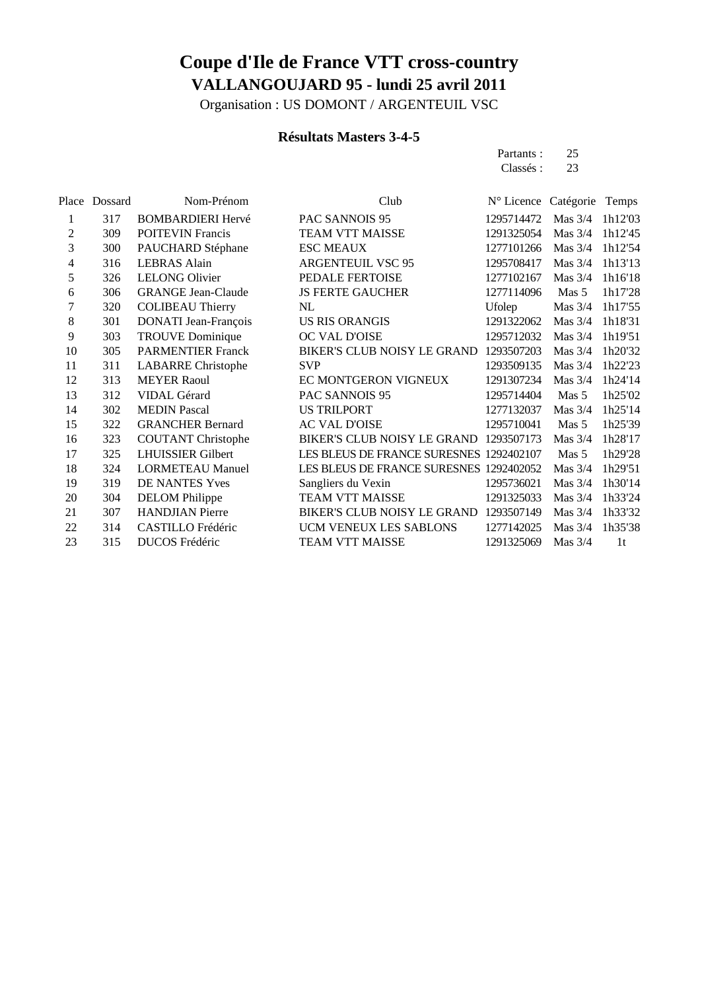Organisation : US DOMONT / ARGENTEUIL VSC

### **Résultats Masters 3-4-5**

Partants : 25<br>Classés : 23 Classés :

| Place | Dossard | Nom-Prénom                | Club                                    | N° Licence Catégorie |           | Temps          |
|-------|---------|---------------------------|-----------------------------------------|----------------------|-----------|----------------|
| 1     | 317     | <b>BOMBARDIERI Hervé</b>  | PAC SANNOIS 95                          | 1295714472           | Mas $3/4$ | 1h12'03        |
| 2     | 309     | <b>POITEVIN Francis</b>   | <b>TEAM VTT MAISSE</b>                  | 1291325054           | Mas $3/4$ | 1h12'45        |
| 3     | 300     | PAUCHARD Stéphane         | <b>ESC MEAUX</b>                        | 1277101266           | Mas $3/4$ | 1h12'54        |
| 4     | 316     | <b>LEBRAS</b> Alain       | <b>ARGENTEUIL VSC 95</b>                | 1295708417           | Mas $3/4$ | 1h13'13        |
| 5     | 326     | <b>LELONG Olivier</b>     | PEDALE FERTOISE                         | 1277102167           | Mas $3/4$ | 1h16'18        |
| 6     | 306     | <b>GRANGE Jean-Claude</b> | <b>JS FERTE GAUCHER</b>                 | 1277114096           | Mas 5     | 1h17'28        |
| 7     | 320     | <b>COLIBEAU Thierry</b>   | NL                                      | Ufolep               | Mas $3/4$ | 1h17'55        |
| 8     | 301     | DONATI Jean-François      | <b>US RIS ORANGIS</b>                   | 1291322062           | Mas $3/4$ | 1h18'31        |
| 9     | 303     | <b>TROUVE Dominique</b>   | OC VAL D'OISE                           | 1295712032           | Mas $3/4$ | 1h19'51        |
| 10    | 305     | <b>PARMENTIER Franck</b>  | BIKER'S CLUB NOISY LE GRAND             | 1293507203           | Mas $3/4$ | 1h20'32        |
| 11    | 311     | <b>LABARRE</b> Christophe | <b>SVP</b>                              | 1293509135           | Mas $3/4$ | 1h22'23        |
| 12    | 313     | <b>MEYER Raoul</b>        | EC MONTGERON VIGNEUX                    | 1291307234           | Mas $3/4$ | 1h24'14        |
| 13    | 312     | VIDAL Gérard              | PAC SANNOIS 95                          | 1295714404           | Mas 5     | 1h25'02        |
| 14    | 302     | <b>MEDIN Pascal</b>       | <b>US TRILPORT</b>                      | 1277132037           | Mas $3/4$ | 1h25'14        |
| 15    | 322     | <b>GRANCHER Bernard</b>   | <b>AC VAL D'OISE</b>                    | 1295710041           | Mas 5     | 1h25'39        |
| 16    | 323     | <b>COUTANT Christophe</b> | BIKER'S CLUB NOISY LE GRAND 1293507173  |                      | Mas $3/4$ | 1h28'17        |
| 17    | 325     | <b>LHUISSIER Gilbert</b>  | LES BLEUS DE FRANCE SURESNES 1292402107 |                      | Mas 5     | 1h29'28        |
| 18    | 324     | <b>LORMETEAU Manuel</b>   | LES BLEUS DE FRANCE SURESNES 1292402052 |                      | Mas $3/4$ | 1h29'51        |
| 19    | 319     | DE NANTES Yves            | Sangliers du Vexin                      | 1295736021           | Mas $3/4$ | 1h30'14        |
| 20    | 304     | <b>DELOM</b> Philippe     | TEAM VTT MAISSE                         | 1291325033           | Mas $3/4$ | 1h33'24        |
| 21    | 307     | <b>HANDJIAN</b> Pierre    | BIKER'S CLUB NOISY LE GRAND             | 1293507149           | Mas $3/4$ | 1h33'32        |
| 22    | 314     | CASTILLO Frédéric         | UCM VENEUX LES SABLONS                  | 1277142025           | Mas $3/4$ | 1h35'38        |
| 23    | 315     | DUCOS Frédéric            | TEAM VTT MAISSE                         | 1291325069           | Mas $3/4$ | 1 <sup>t</sup> |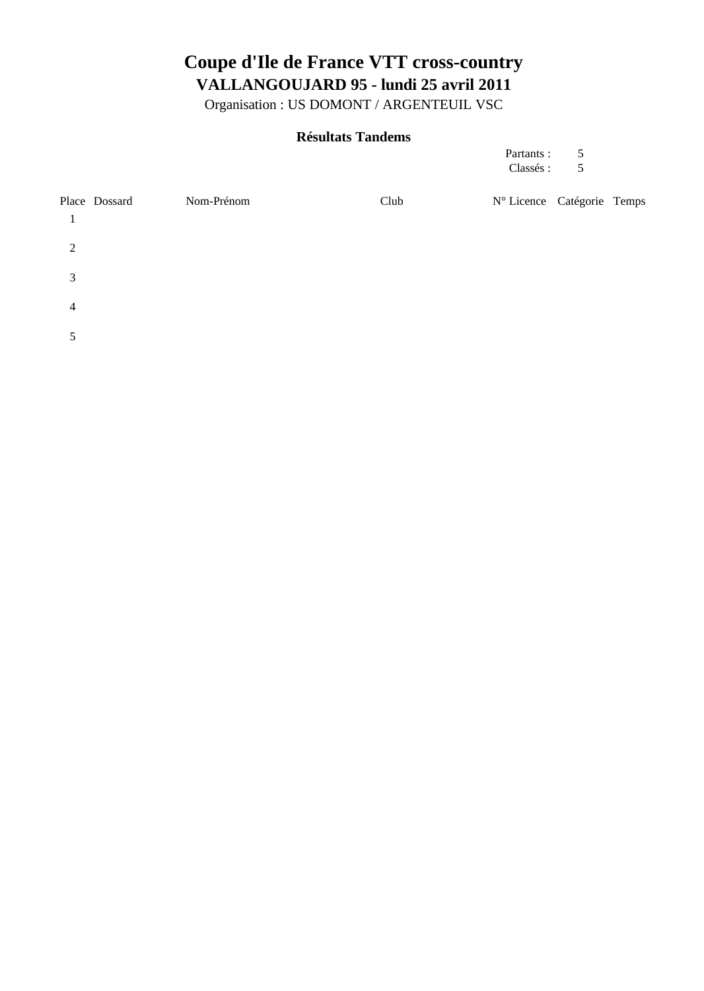Organisation : US DOMONT / ARGENTEUIL VSC

### **Résultats Tandems**

| Partants: | 5 |
|-----------|---|
| Classés:  | 5 |

|                | Place Dossard | Nom-Prénom | Club | N° Licence Catégorie Temps |  |
|----------------|---------------|------------|------|----------------------------|--|
| 2              |               |            |      |                            |  |
| 3              |               |            |      |                            |  |
| $\overline{4}$ |               |            |      |                            |  |
| 5              |               |            |      |                            |  |